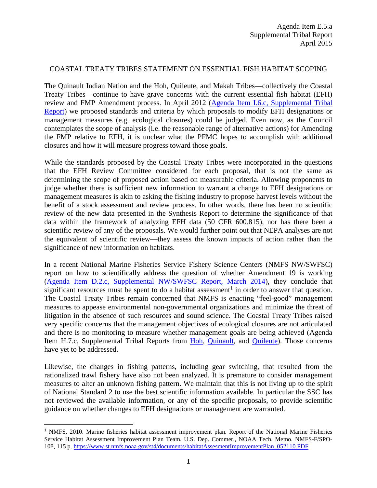## COASTAL TREATY TRIBES STATEMENT ON ESSENTIAL FISH HABITAT SCOPING

The Quinault Indian Nation and the Hoh, Quileute, and Makah Tribes—collectively the Coastal Treaty Tribes—continue to have grave concerns with the current essential fish habitat (EFH) review and FMP Amendment process. In April 2012 [\(Agenda Item I.6.c, Supplemental Tribal](http://www.pcouncil.org/wp-content/uploads/I6c_SUP_TRIBAL_RPT_APR2012BB.pdf)  [Report\)](http://www.pcouncil.org/wp-content/uploads/I6c_SUP_TRIBAL_RPT_APR2012BB.pdf) we proposed standards and criteria by which proposals to modify EFH designations or management measures (e.g. ecological closures) could be judged. Even now, as the Council contemplates the scope of analysis (i.e. the reasonable range of alternative actions) for Amending the FMP relative to EFH, it is unclear what the PFMC hopes to accomplish with additional closures and how it will measure progress toward those goals.

While the standards proposed by the Coastal Treaty Tribes were incorporated in the questions that the EFH Review Committee considered for each proposal, that is not the same as determining the scope of proposed action based on measurable criteria. Allowing proponents to judge whether there is sufficient new information to warrant a change to EFH designations or management measures is akin to asking the fishing industry to propose harvest levels without the benefit of a stock assessment and review process. In other words, there has been no scientific review of the new data presented in the Synthesis Report to determine the significance of that data within the framework of analyzing EFH data (50 CFR 600.815), nor has there been a scientific review of any of the proposals. We would further point out that NEPA analyses are not the equivalent of scientific review—they assess the known impacts of action rather than the significance of new information on habitats.

In a recent National Marine Fisheries Service Fishery Science Centers (NMFS NW/SWFSC) report on how to scientifically address the question of whether Amendment 19 is working [\(Agenda Item D.2.c, Supplemental NW/SWFSC Report, March 2014\)](http://www.pcouncil.org/wp-content/uploads/D2c_SUP_NWFSC_AND_SWFSC_MAR2014BB.pdf), they conclude that significant resources must be spent to do a habitat assessment<sup>[1](#page-0-0)</sup> in order to answer that question. The Coastal Treaty Tribes remain concerned that NMFS is enacting "feel-good" management measures to appease environmental non-governmental organizations and minimize the threat of litigation in the absence of such resources and sound science. The Coastal Treaty Tribes raised very specific concerns that the management objectives of ecological closures are not articulated and there is no monitoring to measure whether management goals are being achieved (Agenda Item H.7.c, Supplemental Tribal Reports from [Hoh,](http://www.pcouncil.org/wp-content/uploads/H7c_SUP_TRIBAL_RPT_HOH_NOV2013BB.pdf) [Quinault,](http://www.pcouncil.org/wp-content/uploads/H7c_SUP_TRIBAL_RPT2_QUINAULT_NOV2013BB.pdf) and [Quileute\)](http://www.pcouncil.org/wp-content/uploads/H7c_SUP_TRIBAL_RPT3_QUILEUTE_NOV2013BB.pdf). Those concerns have yet to be addressed.

Likewise, the changes in fishing patterns, including gear switching, that resulted from the rationalized trawl fishery have also not been analyzed. It is premature to consider management measures to alter an unknown fishing pattern. We maintain that this is not living up to the spirit of National Standard 2 to use the best scientific information available. In particular the SSC has not reviewed the available information, or any of the specific proposals, to provide scientific guidance on whether changes to EFH designations or management are warranted.

l

<span id="page-0-0"></span><sup>1</sup> NMFS. 2010. Marine fisheries habitat assessment improvement plan. Report of the National Marine Fisheries Service Habitat Assessment Improvement Plan Team. U.S. Dep. Commer., NOAA Tech. Memo. NMFS-F/SPO-108, 115 p. [https://www.st.nmfs.noaa.gov/st4/documents/habitatAssesmentImprovementPlan\\_052110.PDF](https://www.st.nmfs.noaa.gov/st4/documents/habitatAssesmentImprovementPlan_052110.PDF)